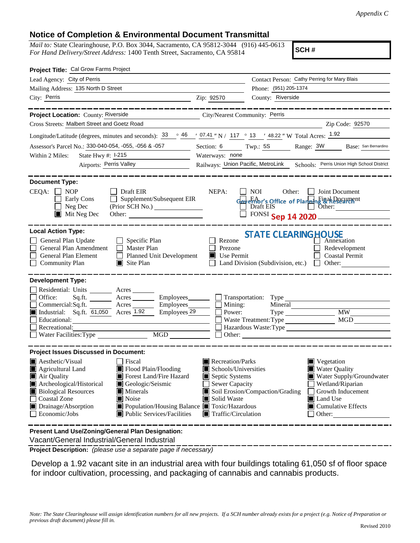## **Notice of Completion & Environmental Document Transmittal**

*Mail to:* State Clearinghouse, P.O. Box 3044, Sacramento, CA 95812-3044 (916) 445-0613 *For Hand Delivery/Street Address:* 1400 Tenth Street, Sacramento, CA 95814

**SCH #**

| Project Title: Cal Grow Farms Project                                                                                                                                                                                                                                                                                                                                                                                                                                                    |                                                                                                                                          |                                                                                   |                                                                                                                                                                           |  |
|------------------------------------------------------------------------------------------------------------------------------------------------------------------------------------------------------------------------------------------------------------------------------------------------------------------------------------------------------------------------------------------------------------------------------------------------------------------------------------------|------------------------------------------------------------------------------------------------------------------------------------------|-----------------------------------------------------------------------------------|---------------------------------------------------------------------------------------------------------------------------------------------------------------------------|--|
| Lead Agency: City of Perris                                                                                                                                                                                                                                                                                                                                                                                                                                                              |                                                                                                                                          | Contact Person: Cathy Perring for Mary Blais                                      |                                                                                                                                                                           |  |
| Mailing Address: 135 North D Street                                                                                                                                                                                                                                                                                                                                                                                                                                                      |                                                                                                                                          | Phone: (951) 205-1374                                                             |                                                                                                                                                                           |  |
| City: Perris<br><u> 1989 - Johann Barn, fransk politik (d. 1989)</u>                                                                                                                                                                                                                                                                                                                                                                                                                     | Zip: 92570                                                                                                                               | County: Riverside                                                                 |                                                                                                                                                                           |  |
| _________                                                                                                                                                                                                                                                                                                                                                                                                                                                                                |                                                                                                                                          |                                                                                   | ----------------                                                                                                                                                          |  |
| Project Location: County: Riverside                                                                                                                                                                                                                                                                                                                                                                                                                                                      | City/Nearest Community: Perris                                                                                                           |                                                                                   |                                                                                                                                                                           |  |
| Cross Streets: Malbert Street and Goetz Road                                                                                                                                                                                                                                                                                                                                                                                                                                             |                                                                                                                                          |                                                                                   | Zip Code: 92570                                                                                                                                                           |  |
| Longitude/Latitude (degrees, minutes and seconds): $33 \degree$ 46 $\degree$ 17.41 " N / 117 $\degree$ 13 $\degree$ 48.22 " W Total Acres: 1.92                                                                                                                                                                                                                                                                                                                                          |                                                                                                                                          |                                                                                   |                                                                                                                                                                           |  |
| Assessor's Parcel No.: 330-040-054, -055, -056 & -057                                                                                                                                                                                                                                                                                                                                                                                                                                    |                                                                                                                                          |                                                                                   | Section: 6 Twp.: 5S Range: 3W Base: San Bernardino                                                                                                                        |  |
| State Hwy #: 1-215<br>Within 2 Miles:<br>the company of the company of the                                                                                                                                                                                                                                                                                                                                                                                                               | Waterways: none                                                                                                                          |                                                                                   |                                                                                                                                                                           |  |
| Airports: Perris Valley                                                                                                                                                                                                                                                                                                                                                                                                                                                                  |                                                                                                                                          | Railways: Union Pacific, MetroLink Schools: Perris Union High School District     |                                                                                                                                                                           |  |
| <b>Document Type:</b><br>$CEQA: \Box NP$<br>$\Box$ Draft EIR<br>$\Box$ Supplement/Subsequent EIR<br>Early Cons<br>Neg Dec<br>(Prior SCH No.)<br>$\blacksquare$ Mit Neg Dec<br>Other:                                                                                                                                                                                                                                                                                                     | NEPA:                                                                                                                                    | NOI 11<br>Other:<br>Gevernor's Office of Planning & Research<br>FONSI Sep 14 2020 | <b>Joint Document</b>                                                                                                                                                     |  |
| <b>Local Action Type:</b><br>General Plan Update<br>$\Box$ Specific Plan<br>General Plan Amendment<br>$\Box$ Master Plan<br><b>General Plan Element</b><br>Planned Unit Development<br><b>Community Plan</b><br>$\Box$ Site Plan                                                                                                                                                                                                                                                         | Rezone<br>Prezone<br>Use Permit<br>П                                                                                                     | <b>STATE CLEARING HOUSE</b><br>Land Division (Subdivision, etc.) $\Box$ Other:    | Annexation<br>Redevelopment<br><b>Coastal Permit</b>                                                                                                                      |  |
| <b>Development Type:</b><br>Residential: Units ________ Acres _______<br>Office:<br>Acres<br>Sq.fit.<br>$\frac{\text{Acres}}{\text{Acres}}$ Employees<br>Commercial:Sq.ft.<br>Employees <sub>29</sub><br>Industrial: Sq.ft. 61,050 Acres 1.92<br>Educational:<br>Recreational:<br>MGD<br>Water Facilities: Type                                                                                                                                                                          | $\Box$ Mining:<br>Power:                                                                                                                 | Mineral<br>Waste Treatment: Type<br>Hazardous Waste:Type<br>Other:                | <b>MW</b><br>MGD                                                                                                                                                          |  |
| <b>Project Issues Discussed in Document:</b><br>$\blacksquare$ Aesthetic/Visual<br>Fiscal<br>Flood Plain/Flooding<br>Agricultural Land<br>Air Quality<br>Forest Land/Fire Hazard<br>Archeological/Historical<br>Geologic/Seismic<br><b>Biological Resources</b><br>Minerals<br><b>Coastal Zone</b><br>Noise<br>Drainage/Absorption<br>■ Population/Housing Balance ■ Toxic/Hazardous<br>Economic/Jobs<br>Public Services/Facilities<br>Present Land Use/Zoning/General Plan Designation: | Recreation/Parks<br>Schools/Universities<br>Septic Systems<br><b>Sewer Capacity</b><br>Solid Waste<br>$\blacksquare$ Traffic/Circulation | Soil Erosion/Compaction/Grading                                                   | Vegetation<br><b>Water Quality</b><br>Water Supply/Groundwater<br>Wetland/Riparian<br>Growth Inducement<br>Land Use<br>$\blacksquare$ Cumulative Effects<br>$\Box$ Other: |  |
|                                                                                                                                                                                                                                                                                                                                                                                                                                                                                          |                                                                                                                                          |                                                                                   |                                                                                                                                                                           |  |

Vacant/General Industrial/General Industrial

**Project Description:** *(please use a separate page if necessary)*

 Develop a 1.92 vacant site in an industrial area with four buildings totaling 61,050 sf of floor space for indoor cultivation, processing, and packaging of cannabis and cannabis products.